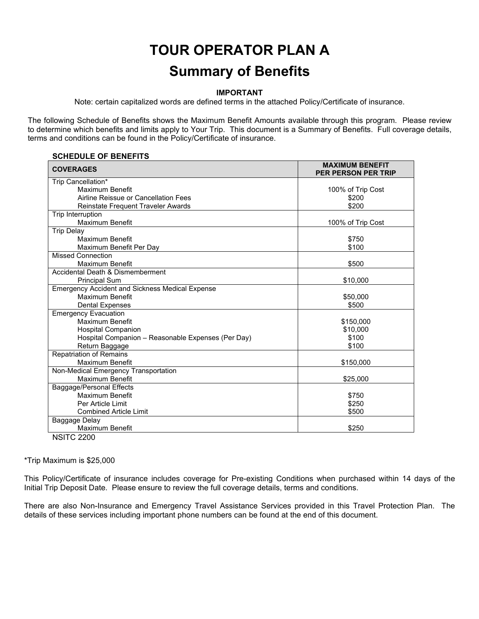# **TOUR OPERATOR PLAN A Summary of Benefits**

#### **IMPORTANT**

Note: certain capitalized words are defined terms in the attached Policy/Certificate of insurance.

The following Schedule of Benefits shows the Maximum Benefit Amounts available through this program. Please review to determine which benefits and limits apply to Your Trip. This document is a Summary of Benefits. Full coverage details, terms and conditions can be found in the Policy/Certificate of insurance.

#### **SCHEDULE OF BENEFITS**

| <b>COVERAGES</b>                                       | <b>MAXIMUM BENEFIT</b><br>PER PERSON PER TRIP |
|--------------------------------------------------------|-----------------------------------------------|
| Trip Cancellation*                                     |                                               |
| Maximum Benefit                                        | 100% of Trip Cost                             |
| Airline Reissue or Cancellation Fees                   | \$200                                         |
| Reinstate Frequent Traveler Awards                     | \$200                                         |
| <b>Trip Interruption</b>                               |                                               |
| Maximum Benefit                                        | 100% of Trip Cost                             |
| <b>Trip Delay</b>                                      |                                               |
| Maximum Benefit                                        | \$750                                         |
| Maximum Benefit Per Day                                | \$100                                         |
| <b>Missed Connection</b>                               |                                               |
| Maximum Benefit                                        | \$500                                         |
| Accidental Death & Dismemberment                       |                                               |
| <b>Principal Sum</b>                                   | \$10,000                                      |
| <b>Emergency Accident and Sickness Medical Expense</b> |                                               |
| Maximum Benefit                                        | \$50,000                                      |
| <b>Dental Expenses</b>                                 | \$500                                         |
| <b>Emergency Evacuation</b>                            |                                               |
| <b>Maximum Benefit</b>                                 | \$150,000                                     |
| <b>Hospital Companion</b>                              | \$10,000                                      |
| Hospital Companion - Reasonable Expenses (Per Day)     | \$100                                         |
| Return Baggage                                         | \$100                                         |
| <b>Repatriation of Remains</b>                         |                                               |
| Maximum Benefit                                        | \$150,000                                     |
| Non-Medical Emergency Transportation                   |                                               |
| <b>Maximum Benefit</b>                                 | \$25,000                                      |
| Baggage/Personal Effects                               |                                               |
| Maximum Benefit                                        | \$750                                         |
| Per Article Limit                                      | \$250                                         |
| <b>Combined Article Limit</b>                          | \$500                                         |
| Baggage Delay                                          |                                               |
| <b>Maximum Benefit</b>                                 | \$250                                         |
| <b>NSITC 2200</b>                                      |                                               |

\*Trip Maximum is \$25,000

This Policy/Certificate of insurance includes coverage for Pre-existing Conditions when purchased within 14 days of the Initial Trip Deposit Date. Please ensure to review the full coverage details, terms and conditions.

There are also Non-Insurance and Emergency Travel Assistance Services provided in this Travel Protection Plan. The details of these services including important phone numbers can be found at the end of this document.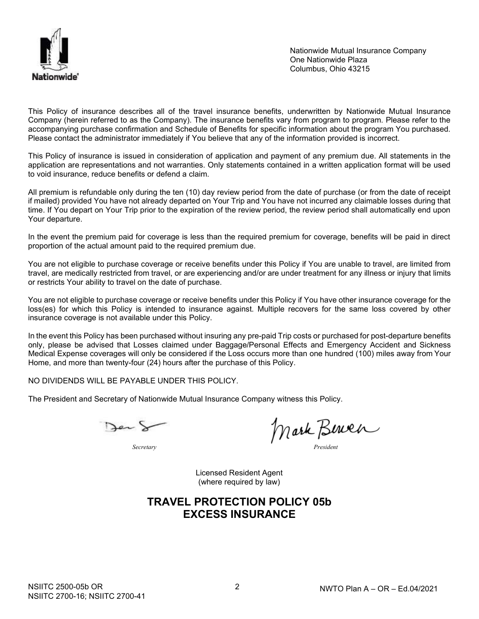

Nationwide Mutual Insurance Company One Nationwide Plaza Columbus, Ohio 43215

This Policy of insurance describes all of the travel insurance benefits, underwritten by Nationwide Mutual Insurance Company (herein referred to as the Company). The insurance benefits vary from program to program. Please refer to the accompanying purchase confirmation and Schedule of Benefits for specific information about the program You purchased. Please contact the administrator immediately if You believe that any of the information provided is incorrect.

This Policy of insurance is issued in consideration of application and payment of any premium due. All statements in the application are representations and not warranties. Only statements contained in a written application format will be used to void insurance, reduce benefits or defend a claim.

All premium is refundable only during the ten (10) day review period from the date of purchase (or from the date of receipt if mailed) provided You have not already departed on Your Trip and You have not incurred any claimable losses during that time. If You depart on Your Trip prior to the expiration of the review period, the review period shall automatically end upon Your departure.

In the event the premium paid for coverage is less than the required premium for coverage, benefits will be paid in direct proportion of the actual amount paid to the required premium due.

You are not eligible to purchase coverage or receive benefits under this Policy if You are unable to travel, are limited from travel, are medically restricted from travel, or are experiencing and/or are under treatment for any illness or injury that limits or restricts Your ability to travel on the date of purchase.

You are not eligible to purchase coverage or receive benefits under this Policy if You have other insurance coverage for the loss(es) for which this Policy is intended to insurance against. Multiple recovers for the same loss covered by other insurance coverage is not available under this Policy.

In the event this Policy has been purchased without insuring any pre-paid Trip costs or purchased for post-departure benefits only, please be advised that Losses claimed under Baggage/Personal Effects and Emergency Accident and Sickness Medical Expense coverages will only be considered if the Loss occurs more than one hundred (100) miles away from Your Home, and more than twenty-four (24) hours after the purchase of this Policy.

NO DIVIDENDS WILL BE PAYABLE UNDER THIS POLICY.

The President and Secretary of Nationwide Mutual Insurance Company witness this Policy.

Der S

*Secretary President*

Licensed Resident Agent (where required by law)

# **TRAVEL PROTECTION POLICY 05b EXCESS INSURANCE**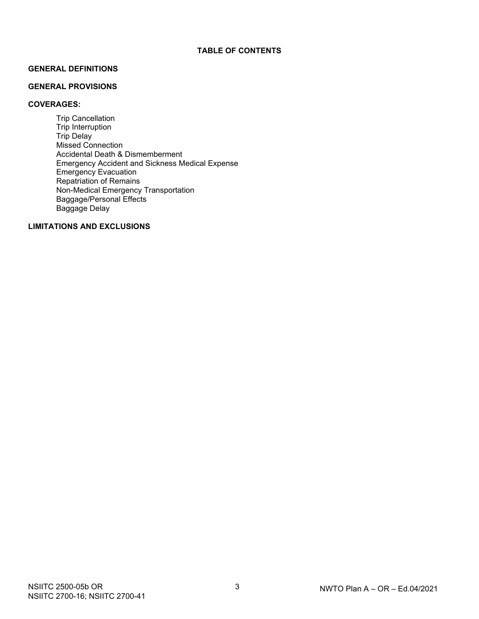# **GENERAL DEFINITIONS**

# **GENERAL PROVISIONS**

# **COVERAGES:**

Trip Cancellation Trip Interruption Trip Delay Missed Connection Accidental Death & Dismemberment Emergency Accident and Sickness Medical Expense Emergency Evacuation Repatriation of Remains Non-Medical Emergency Transportation Baggage/Personal Effects Baggage Delay

# **LIMITATIONS AND EXCLUSIONS**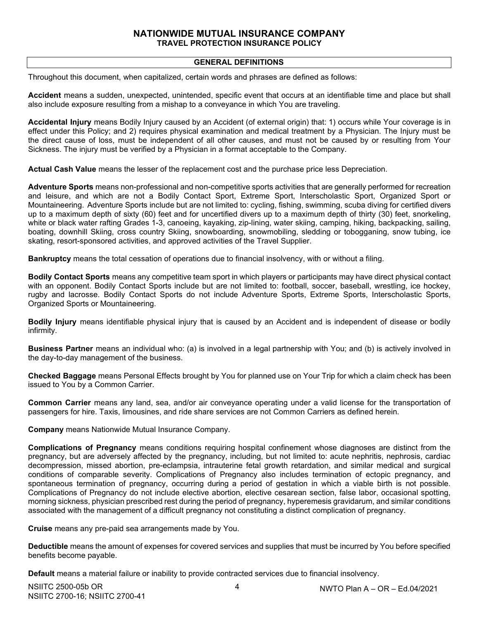# **NATIONWIDE MUTUAL INSURANCE COMPANY TRAVEL PROTECTION INSURANCE POLICY**

#### **GENERAL DEFINITIONS**

Throughout this document, when capitalized, certain words and phrases are defined as follows:

**Accident** means a sudden, unexpected, unintended, specific event that occurs at an identifiable time and place but shall also include exposure resulting from a mishap to a conveyance in which You are traveling.

**Accidental Injury** means Bodily Injury caused by an Accident (of external origin) that: 1) occurs while Your coverage is in effect under this Policy; and 2) requires physical examination and medical treatment by a Physician. The Injury must be the direct cause of loss, must be independent of all other causes, and must not be caused by or resulting from Your Sickness. The injury must be verified by a Physician in a format acceptable to the Company.

**Actual Cash Value** means the lesser of the replacement cost and the purchase price less Depreciation.

**Adventure Sports** means non-professional and non-competitive sports activities that are generally performed for recreation and leisure, and which are not a Bodily Contact Sport, Extreme Sport, Interscholastic Sport, Organized Sport or Mountaineering. Adventure Sports include but are not limited to: cycling, fishing, swimming, scuba diving for certified divers up to a maximum depth of sixty (60) feet and for uncertified divers up to a maximum depth of thirty (30) feet, snorkeling, white or black water rafting Grades 1-3, canoeing, kayaking, zip-lining, water skiing, camping, hiking, backpacking, sailing, boating, downhill Skiing, cross country Skiing, snowboarding, snowmobiling, sledding or tobogganing, snow tubing, ice skating, resort-sponsored activities, and approved activities of the Travel Supplier.

**Bankruptcy** means the total cessation of operations due to financial insolvency, with or without a filing.

**Bodily Contact Sports** means any competitive team sport in which players or participants may have direct physical contact with an opponent. Bodily Contact Sports include but are not limited to: football, soccer, baseball, wrestling, ice hockey, rugby and lacrosse. Bodily Contact Sports do not include Adventure Sports, Extreme Sports, Interscholastic Sports, Organized Sports or Mountaineering.

**Bodily Injury** means identifiable physical injury that is caused by an Accident and is independent of disease or bodily infirmity.

**Business Partner** means an individual who: (a) is involved in a legal partnership with You; and (b) is actively involved in the day-to-day management of the business.

**Checked Baggage** means Personal Effects brought by You for planned use on Your Trip for which a claim check has been issued to You by a Common Carrier.

**Common Carrier** means any land, sea, and/or air conveyance operating under a valid license for the transportation of passengers for hire. Taxis, limousines, and ride share services are not Common Carriers as defined herein.

**Company** means Nationwide Mutual Insurance Company.

**Complications of Pregnancy** means conditions requiring hospital confinement whose diagnoses are distinct from the pregnancy, but are adversely affected by the pregnancy, including, but not limited to: acute nephritis, nephrosis, cardiac decompression, missed abortion, pre-eclampsia, intrauterine fetal growth retardation, and similar medical and surgical conditions of comparable severity. Complications of Pregnancy also includes termination of ectopic pregnancy, and spontaneous termination of pregnancy, occurring during a period of gestation in which a viable birth is not possible. Complications of Pregnancy do not include elective abortion, elective cesarean section, false labor, occasional spotting, morning sickness, physician prescribed rest during the period of pregnancy, hyperemesis gravidarum, and similar conditions associated with the management of a difficult pregnancy not constituting a distinct complication of pregnancy.

**Cruise** means any pre-paid sea arrangements made by You.

**Deductible** means the amount of expenses for covered services and supplies that must be incurred by You before specified benefits become payable.

**Default** means a material failure or inability to provide contracted services due to financial insolvency.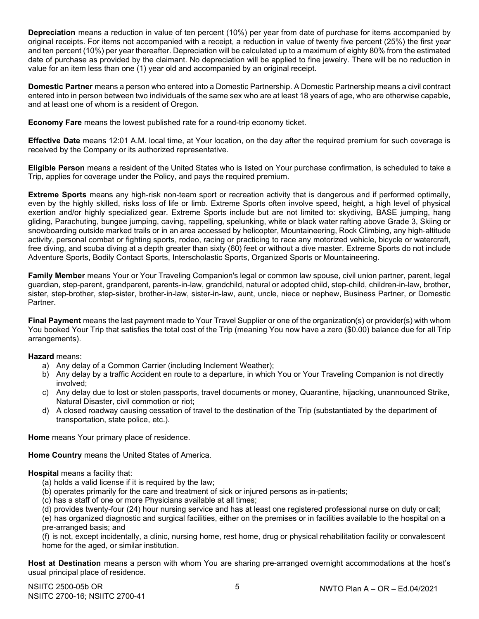**Depreciation** means a reduction in value of ten percent (10%) per year from date of purchase for items accompanied by original receipts. For items not accompanied with a receipt, a reduction in value of twenty five percent (25%) the first year and ten percent (10%) per year thereafter. Depreciation will be calculated up to a maximum of eighty 80% from the estimated date of purchase as provided by the claimant. No depreciation will be applied to fine jewelry. There will be no reduction in value for an item less than one (1) year old and accompanied by an original receipt.

**Domestic Partner** means a person who entered into a Domestic Partnership. A Domestic Partnership means a civil contract entered into in person between two individuals of the same sex who are at least 18 years of age, who are otherwise capable, and at least one of whom is a resident of Oregon.

**Economy Fare** means the lowest published rate for a round-trip economy ticket.

**Effective Date** means 12:01 A.M. local time, at Your location, on the day after the required premium for such coverage is received by the Company or its authorized representative.

**Eligible Person** means a resident of the United States who is listed on Your purchase confirmation, is scheduled to take a Trip, applies for coverage under the Policy, and pays the required premium.

**Extreme Sports** means any high-risk non-team sport or recreation activity that is dangerous and if performed optimally, even by the highly skilled, risks loss of life or limb. Extreme Sports often involve speed, height, a high level of physical exertion and/or highly specialized gear. Extreme Sports include but are not limited to: skydiving, BASE jumping, hang gliding, Parachuting, bungee jumping, caving, rappelling, spelunking, white or black water rafting above Grade 3, Skiing or snowboarding outside marked trails or in an area accessed by helicopter, Mountaineering, Rock Climbing, any high‐altitude activity, personal combat or fighting sports, rodeo, racing or practicing to race any motorized vehicle, bicycle or watercraft, free diving, and scuba diving at a depth greater than sixty (60) feet or without a dive master. Extreme Sports do not include Adventure Sports, Bodily Contact Sports, Interscholastic Sports, Organized Sports or Mountaineering.

**Family Member** means Your or Your Traveling Companion's legal or common law spouse, civil union partner, parent, legal guardian, step-parent, grandparent, parents-in-law, grandchild, natural or adopted child, step-child, children-in-law, brother, sister, step-brother, step-sister, brother-in-law, sister-in-law, aunt, uncle, niece or nephew, Business Partner, or Domestic Partner.

**Final Payment** means the last payment made to Your Travel Supplier or one of the organization(s) or provider(s) with whom You booked Your Trip that satisfies the total cost of the Trip (meaning You now have a zero (\$0.00) balance due for all Trip arrangements).

# **Hazard** means:

- a) Any delay of a Common Carrier (including Inclement Weather);
- b) Any delay by a traffic Accident en route to a departure, in which You or Your Traveling Companion is not directly involved;
- c) Any delay due to lost or stolen passports, travel documents or money, Quarantine, hijacking, unannounced Strike, Natural Disaster, civil commotion or riot;
- d) A closed roadway causing cessation of travel to the destination of the Trip (substantiated by the department of transportation, state police, etc.).

**Home** means Your primary place of residence.

**Home Country** means the United States of America.

**Hospital** means a facility that:

- (a) holds a valid license if it is required by the law;
- (b) operates primarily for the care and treatment of sick or injured persons as in-patients;
- (c) has a staff of one or more Physicians available at all times;
- (d) provides twenty-four (24) hour nursing service and has at least one registered professional nurse on duty or call;

(e) has organized diagnostic and surgical facilities, either on the premises or in facilities available to the hospital on a pre-arranged basis; and

(f) is not, except incidentally, a clinic, nursing home, rest home, drug or physical rehabilitation facility or convalescent home for the aged, or similar institution.

**Host at Destination** means a person with whom You are sharing pre-arranged overnight accommodations at the host's usual principal place of residence.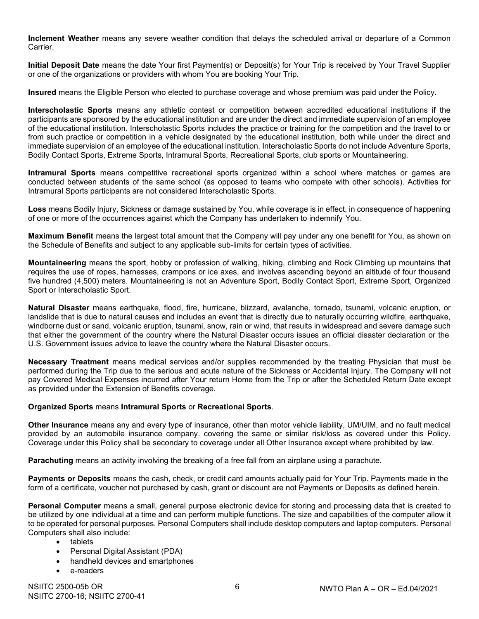**Inclement Weather** means any severe weather condition that delays the scheduled arrival or departure of a Common Carrier.

**Initial Deposit Date** means the date Your first Payment(s) or Deposit(s) for Your Trip is received by Your Travel Supplier or one of the organizations or providers with whom You are booking Your Trip.

**Insured** means the Eligible Person who elected to purchase coverage and whose premium was paid under the Policy.

**Interscholastic Sports** means any athletic contest or competition between accredited educational institutions if the participants are sponsored by the educational institution and are under the direct and immediate supervision of an employee of the educational institution. Interscholastic Sports includes the practice or training for the competition and the travel to or from such practice or competition in a vehicle designated by the educational institution, both while under the direct and immediate supervision of an employee of the educational institution. Interscholastic Sports do not include Adventure Sports, Bodily Contact Sports, Extreme Sports, Intramural Sports, Recreational Sports, club sports or Mountaineering.

**Intramural Sports** means competitive recreational sports organized within a school where matches or games are conducted between students of the same school (as opposed to teams who compete with other schools). Activities for Intramural Sports participants are not considered Interscholastic Sports.

**Loss** means Bodily Injury, Sickness or damage sustained by You, while coverage is in effect, in consequence of happening of one or more of the occurrences against which the Company has undertaken to indemnify You.

**Maximum Benefit** means the largest total amount that the Company will pay under any one benefit for You, as shown on the Schedule of Benefits and subject to any applicable sub-limits for certain types of activities.

**Mountaineering** means the sport, hobby or profession of walking, hiking, climbing and Rock Climbing up mountains that requires the use of ropes, harnesses, crampons or ice axes, and involves ascending beyond an altitude of four thousand five hundred (4,500) meters. Mountaineering is not an Adventure Sport, Bodily Contact Sport, Extreme Sport, Organized Sport or Interscholastic Sport.

**Natural Disaster** means earthquake, flood, fire, hurricane, blizzard, avalanche, tornado, tsunami, volcanic eruption, or landslide that is due to natural causes and includes an event that is directly due to naturally occurring wildfire, earthquake, windborne dust or sand, volcanic eruption, tsunami, snow, rain or wind, that results in widespread and severe damage such that either the government of the country where the Natural Disaster occurs issues an official disaster declaration or the U.S. Government issues advice to leave the country where the Natural Disaster occurs.

**Necessary Treatment** means medical services and/or supplies recommended by the treating Physician that must be performed during the Trip due to the serious and acute nature of the Sickness or Accidental Injury. The Company will not pay Covered Medical Expenses incurred after Your return Home from the Trip or after the Scheduled Return Date except as provided under the Extension of Benefits coverage.

# **Organized Sports** means **Intramural Sports** or **Recreational Sports**.

**Other Insurance** means any and every type of insurance, other than motor vehicle liability, UM/UIM, and no fault medical provided by an automobile insurance company. covering the same or similar risk/loss as covered under this Policy. Coverage under this Policy shall be secondary to coverage under all Other Insurance except where prohibited by law.

**Parachuting** means an activity involving the breaking of a free fall from an airplane using a parachute.

**Payments or Deposits** means the cash, check, or credit card amounts actually paid for Your Trip. Payments made in the form of a certificate, voucher not purchased by cash, grant or discount are not Payments or Deposits as defined herein.

**Personal Computer** means a small, general purpose electronic device for storing and processing data that is created to be utilized by one individual at a time and can perform multiple functions. The size and capabilities of the computer allow it to be operated for personal purposes. Personal Computers shall include desktop computers and laptop computers. Personal Computers shall also include:

- tablets
- Personal Digital Assistant (PDA)
- handheld devices and smartphones
- e-readers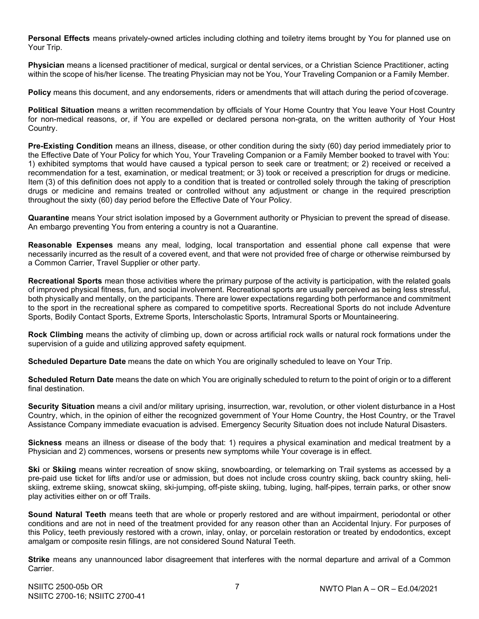**Personal Effects** means privately-owned articles including clothing and toiletry items brought by You for planned use on Your Trip.

**Physician** means a licensed practitioner of medical, surgical or dental services, or a Christian Science Practitioner, acting within the scope of his/her license. The treating Physician may not be You, Your Traveling Companion or a Family Member.

**Policy** means this document, and any endorsements, riders or amendments that will attach during the period ofcoverage.

**Political Situation** means a written recommendation by officials of Your Home Country that You leave Your Host Country for non-medical reasons, or, if You are expelled or declared persona non-grata, on the written authority of Your Host Country.

**Pre-Existing Condition** means an illness, disease, or other condition during the sixty (60) day period immediately prior to the Effective Date of Your Policy for which You, Your Traveling Companion or a Family Member booked to travel with You: 1) exhibited symptoms that would have caused a typical person to seek care or treatment; or 2) received or received a recommendation for a test, examination, or medical treatment; or 3) took or received a prescription for drugs or medicine. Item (3) of this definition does not apply to a condition that is treated or controlled solely through the taking of prescription drugs or medicine and remains treated or controlled without any adjustment or change in the required prescription throughout the sixty (60) day period before the Effective Date of Your Policy.

**Quarantine** means Your strict isolation imposed by a Government authority or Physician to prevent the spread of disease. An embargo preventing You from entering a country is not a Quarantine.

**Reasonable Expenses** means any meal, lodging, local transportation and essential phone call expense that were necessarily incurred as the result of a covered event, and that were not provided free of charge or otherwise reimbursed by a Common Carrier, Travel Supplier or other party.

**Recreational Sports** mean those activities where the primary purpose of the activity is participation, with the related goals of improved physical fitness, fun, and social involvement. Recreational sports are usually perceived as being less stressful, both physically and mentally, on the participants. There are lower expectations regarding both performance and commitment to the sport in the recreational sphere as compared to competitive sports. Recreational Sports do not include Adventure Sports, Bodily Contact Sports, Extreme Sports, Interscholastic Sports, Intramural Sports or Mountaineering.

**Rock Climbing** means the activity of climbing up, down or across artificial rock walls or natural rock formations under the supervision of a guide and utilizing approved safety equipment.

**Scheduled Departure Date** means the date on which You are originally scheduled to leave on Your Trip.

**Scheduled Return Date** means the date on which You are originally scheduled to return to the point of origin or to a different final destination.

**Security Situation** means a civil and/or military uprising, insurrection, war, revolution, or other violent disturbance in a Host Country, which, in the opinion of either the recognized government of Your Home Country, the Host Country, or the Travel Assistance Company immediate evacuation is advised. Emergency Security Situation does not include Natural Disasters.

**Sickness** means an illness or disease of the body that: 1) requires a physical examination and medical treatment by a Physician and 2) commences, worsens or presents new symptoms while Your coverage is in effect.

**Ski** or **Skiing** means winter recreation of snow skiing, snowboarding, or telemarking on Trail systems as accessed by a pre-paid use ticket for lifts and/or use or admission, but does not include cross country skiing, back country skiing, heliskiing, extreme skiing, snowcat skiing, ski-jumping, off-piste skiing, tubing, luging, half-pipes, terrain parks, or other snow play activities either on or off Trails.

**Sound Natural Teeth** means teeth that are whole or properly restored and are without impairment, periodontal or other conditions and are not in need of the treatment provided for any reason other than an Accidental Injury. For purposes of this Policy, teeth previously restored with a crown, inlay, onlay, or porcelain restoration or treated by endodontics, except amalgam or composite resin fillings, are not considered Sound Natural Teeth.

**Strike** means any unannounced labor disagreement that interferes with the normal departure and arrival of a Common Carrier.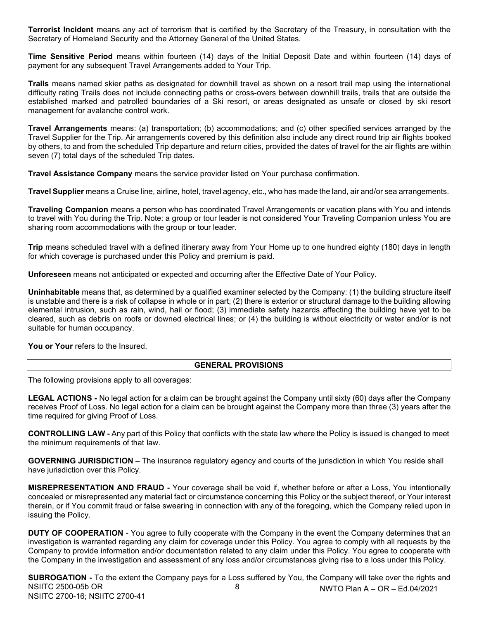**Terrorist Incident** means any act of terrorism that is certified by the Secretary of the Treasury, in consultation with the Secretary of Homeland Security and the Attorney General of the United States.

**Time Sensitive Period** means within fourteen (14) days of the Initial Deposit Date and within fourteen (14) days of payment for any subsequent Travel Arrangements added to Your Trip.

**Trails** means named skier paths as designated for downhill travel as shown on a resort trail map using the international difficulty rating Trails does not include connecting paths or cross-overs between downhill trails, trails that are outside the established marked and patrolled boundaries of a Ski resort, or areas designated as unsafe or closed by ski resort management for avalanche control work.

**Travel Arrangements** means: (a) transportation; (b) accommodations; and (c) other specified services arranged by the Travel Supplier for the Trip. Air arrangements covered by this definition also include any direct round trip air flights booked by others, to and from the scheduled Trip departure and return cities, provided the dates of travel for the air flights are within seven (7) total days of the scheduled Trip dates.

**Travel Assistance Company** means the service provider listed on Your purchase confirmation.

**Travel Supplier** means a Cruise line, airline, hotel, travel agency, etc., who has made the land, air and/or sea arrangements.

**Traveling Companion** means a person who has coordinated Travel Arrangements or vacation plans with You and intends to travel with You during the Trip. Note: a group or tour leader is not considered Your Traveling Companion unless You are sharing room accommodations with the group or tour leader.

**Trip** means scheduled travel with a defined itinerary away from Your Home up to one hundred eighty (180) days in length for which coverage is purchased under this Policy and premium is paid.

**Unforeseen** means not anticipated or expected and occurring after the Effective Date of Your Policy.

**Uninhabitable** means that, as determined by a qualified examiner selected by the Company: (1) the building structure itself is unstable and there is a risk of collapse in whole or in part; (2) there is exterior or structural damage to the building allowing elemental intrusion, such as rain, wind, hail or flood; (3) immediate safety hazards affecting the building have yet to be cleared, such as debris on roofs or downed electrical lines; or (4) the building is without electricity or water and/or is not suitable for human occupancy.

You or Your refers to the Insured.

#### **GENERAL PROVISIONS**

The following provisions apply to all coverages:

**LEGAL ACTIONS -** No legal action for a claim can be brought against the Company until sixty (60) days after the Company receives Proof of Loss. No legal action for a claim can be brought against the Company more than three (3) years after the time required for giving Proof of Loss.

**CONTROLLING LAW -** Any part of this Policy that conflicts with the state law where the Policy is issued is changed to meet the minimum requirements of that law.

**GOVERNING JURISDICTION** – The insurance regulatory agency and courts of the jurisdiction in which You reside shall have jurisdiction over this Policy.

**MISREPRESENTATION AND FRAUD -** Your coverage shall be void if, whether before or after a Loss, You intentionally concealed or misrepresented any material fact or circumstance concerning this Policy or the subject thereof, or Your interest therein, or if You commit fraud or false swearing in connection with any of the foregoing, which the Company relied upon in issuing the Policy.

**DUTY OF COOPERATION** - You agree to fully cooperate with the Company in the event the Company determines that an investigation is warranted regarding any claim for coverage under this Policy. You agree to comply with all requests by the Company to provide information and/or documentation related to any claim under this Policy. You agree to cooperate with the Company in the investigation and assessment of any loss and/or circumstances giving rise to a loss under this Policy.

NSIITC 2500-05b OR NSIITC 2700-16; NSIITC 2700-41  $8$  NWTO Plan A – OR – Ed.04/2021 **SUBROGATION -** To the extent the Company pays for a Loss suffered by You, the Company will take over the rights and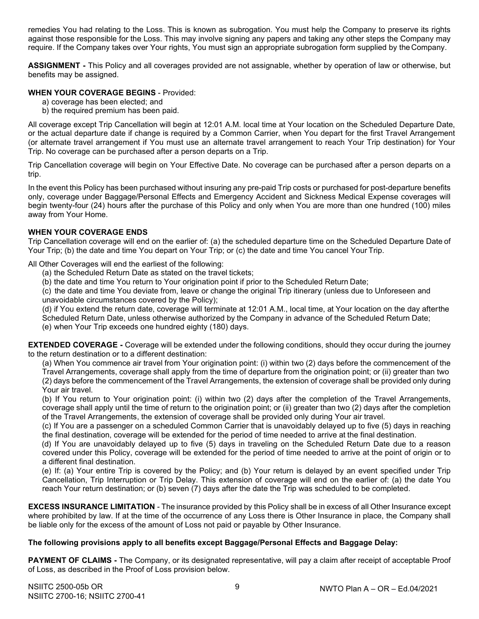remedies You had relating to the Loss. This is known as subrogation. You must help the Company to preserve its rights against those responsible for the Loss. This may involve signing any papers and taking any other steps the Company may require. If the Company takes over Your rights, You must sign an appropriate subrogation form supplied by theCompany.

**ASSIGNMENT -** This Policy and all coverages provided are not assignable, whether by operation of law or otherwise, but benefits may be assigned.

# **WHEN YOUR COVERAGE BEGINS** - Provided:

- a) coverage has been elected; and
- b) the required premium has been paid.

All coverage except Trip Cancellation will begin at 12:01 A.M. local time at Your location on the Scheduled Departure Date, or the actual departure date if change is required by a Common Carrier, when You depart for the first Travel Arrangement (or alternate travel arrangement if You must use an alternate travel arrangement to reach Your Trip destination) for Your Trip. No coverage can be purchased after a person departs on a Trip.

Trip Cancellation coverage will begin on Your Effective Date. No coverage can be purchased after a person departs on a trip.

In the event this Policy has been purchased without insuring any pre-paid Trip costs or purchased for post-departure benefits only, coverage under Baggage/Personal Effects and Emergency Accident and Sickness Medical Expense coverages will begin twenty-four (24) hours after the purchase of this Policy and only when You are more than one hundred (100) miles away from Your Home.

# **WHEN YOUR COVERAGE ENDS**

Trip Cancellation coverage will end on the earlier of: (a) the scheduled departure time on the Scheduled Departure Date of Your Trip; (b) the date and time You depart on Your Trip; or (c) the date and time You cancel Your Trip.

All Other Coverages will end the earliest of the following:

- (a) the Scheduled Return Date as stated on the travel tickets;
- (b) the date and time You return to Your origination point if prior to the Scheduled Return Date;

(c) the date and time You deviate from, leave or change the original Trip itinerary (unless due to Unforeseen and unavoidable circumstances covered by the Policy);

(d) if You extend the return date, coverage will terminate at 12:01 A.M., local time, at Your location on the day afterthe Scheduled Return Date, unless otherwise authorized by the Company in advance of the Scheduled Return Date;

(e) when Your Trip exceeds one hundred eighty (180) days.

**EXTENDED COVERAGE -** Coverage will be extended under the following conditions, should they occur during the journey to the return destination or to a different destination:

(a) When You commence air travel from Your origination point: (i) within two (2) days before the commencement of the Travel Arrangements, coverage shall apply from the time of departure from the origination point; or (ii) greater than two (2) days before the commencement of the Travel Arrangements, the extension of coverage shall be provided only during Your air travel.

(b) If You return to Your origination point: (i) within two (2) days after the completion of the Travel Arrangements, coverage shall apply until the time of return to the origination point; or (ii) greater than two (2) days after the completion of the Travel Arrangements, the extension of coverage shall be provided only during Your air travel.

(c) If You are a passenger on a scheduled Common Carrier that is unavoidably delayed up to five (5) days in reaching the final destination, coverage will be extended for the period of time needed to arrive at the final destination.

(d) If You are unavoidably delayed up to five (5) days in traveling on the Scheduled Return Date due to a reason covered under this Policy, coverage will be extended for the period of time needed to arrive at the point of origin or to a different final destination.

(e) If: (a) Your entire Trip is covered by the Policy; and (b) Your return is delayed by an event specified under Trip Cancellation, Trip Interruption or Trip Delay. This extension of coverage will end on the earlier of: (a) the date You reach Your return destination; or (b) seven (7) days after the date the Trip was scheduled to be completed.

**EXCESS INSURANCE LIMITATION** - The insurance provided by this Policy shall be in excess of all Other Insurance except where prohibited by law. If at the time of the occurrence of any Loss there is Other Insurance in place, the Company shall be liable only for the excess of the amount of Loss not paid or payable by Other Insurance.

# **The following provisions apply to all benefits except Baggage/Personal Effects and Baggage Delay:**

**PAYMENT OF CLAIMS -** The Company, or its designated representative, will pay a claim after receipt of acceptable Proof of Loss, as described in the Proof of Loss provision below.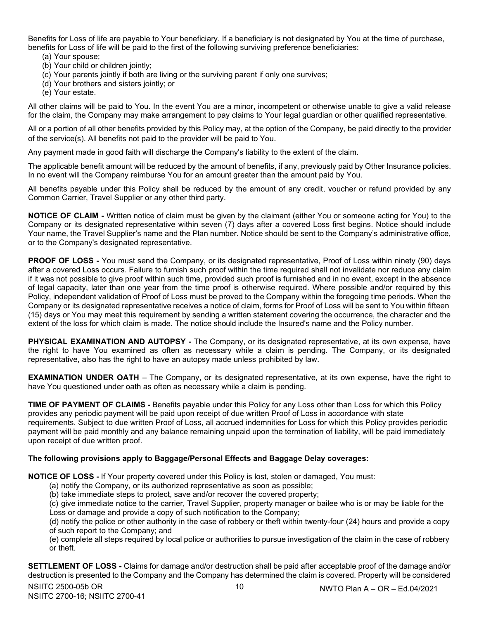Benefits for Loss of life are payable to Your beneficiary. If a beneficiary is not designated by You at the time of purchase, benefits for Loss of life will be paid to the first of the following surviving preference beneficiaries:

- (a) Your spouse;
- (b) Your child or children jointly;
- (c) Your parents jointly if both are living or the surviving parent if only one survives;
- (d) Your brothers and sisters jointly; or
- (e) Your estate.

All other claims will be paid to You. In the event You are a minor, incompetent or otherwise unable to give a valid release for the claim, the Company may make arrangement to pay claims to Your legal guardian or other qualified representative.

All or a portion of all other benefits provided by this Policy may, at the option of the Company, be paid directly to the provider of the service(s). All benefits not paid to the provider will be paid to You.

Any payment made in good faith will discharge the Company's liability to the extent of the claim.

The applicable benefit amount will be reduced by the amount of benefits, if any, previously paid by Other Insurance policies. In no event will the Company reimburse You for an amount greater than the amount paid by You.

All benefits payable under this Policy shall be reduced by the amount of any credit, voucher or refund provided by any Common Carrier, Travel Supplier or any other third party.

**NOTICE OF CLAIM -** Written notice of claim must be given by the claimant (either You or someone acting for You) to the Company or its designated representative within seven (7) days after a covered Loss first begins. Notice should include Your name, the Travel Supplier's name and the Plan number. Notice should be sent to the Company's administrative office, or to the Company's designated representative.

**PROOF OF LOSS -** You must send the Company, or its designated representative, Proof of Loss within ninety (90) days after a covered Loss occurs. Failure to furnish such proof within the time required shall not invalidate nor reduce any claim if it was not possible to give proof within such time, provided such proof is furnished and in no event, except in the absence of legal capacity, later than one year from the time proof is otherwise required. Where possible and/or required by this Policy, independent validation of Proof of Loss must be proved to the Company within the foregoing time periods. When the Company or its designated representative receives a notice of claim, forms for Proof of Loss will be sent to You within fifteen (15) days or You may meet this requirement by sending a written statement covering the occurrence, the character and the extent of the loss for which claim is made. The notice should include the Insured's name and the Policy number.

**PHYSICAL EXAMINATION AND AUTOPSY -** The Company, or its designated representative, at its own expense, have the right to have You examined as often as necessary while a claim is pending. The Company, or its designated representative, also has the right to have an autopsy made unless prohibited by law.

**EXAMINATION UNDER OATH** – The Company, or its designated representative, at its own expense, have the right to have You questioned under oath as often as necessary while a claim is pending.

**TIME OF PAYMENT OF CLAIMS -** Benefits payable under this Policy for any Loss other than Loss for which this Policy provides any periodic payment will be paid upon receipt of due written Proof of Loss in accordance with state requirements. Subject to due written Proof of Loss, all accrued indemnities for Loss for which this Policy provides periodic payment will be paid monthly and any balance remaining unpaid upon the termination of liability, will be paid immediately upon receipt of due written proof.

#### **The following provisions apply to Baggage/Personal Effects and Baggage Delay coverages:**

**NOTICE OF LOSS -** If Your property covered under this Policy is lost, stolen or damaged, You must:

- (a) notify the Company, or its authorized representative as soon as possible;
- (b) take immediate steps to protect, save and/or recover the covered property;

(c) give immediate notice to the carrier, Travel Supplier, property manager or bailee who is or may be liable for the Loss or damage and provide a copy of such notification to the Company;

(d) notify the police or other authority in the case of robbery or theft within twenty-four (24) hours and provide a copy of such report to the Company; and

(e) complete all steps required by local police or authorities to pursue investigation of the claim in the case of robbery or theft.

NSIITC 2500-05b OR 10 NWTO Plan A – OR – Ed.04/2021 **SETTLEMENT OF LOSS -** Claims for damage and/or destruction shall be paid after acceptable proof of the damage and/or destruction is presented to the Company and the Company has determined the claim is covered. Property will be considered

# NSIITC 2700-16; NSIITC 2700-41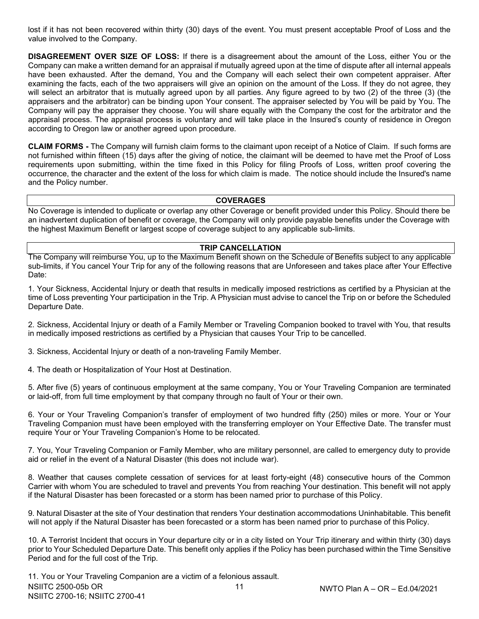lost if it has not been recovered within thirty (30) days of the event. You must present acceptable Proof of Loss and the value involved to the Company.

**DISAGREEMENT OVER SIZE OF LOSS:** If there is a disagreement about the amount of the Loss, either You or the Company can make a written demand for an appraisal if mutually agreed upon at the time of dispute after all internal appeals have been exhausted. After the demand, You and the Company will each select their own competent appraiser. After examining the facts, each of the two appraisers will give an opinion on the amount of the Loss. If they do not agree, they will select an arbitrator that is mutually agreed upon by all parties. Any figure agreed to by two (2) of the three (3) (the appraisers and the arbitrator) can be binding upon Your consent. The appraiser selected by You will be paid by You. The Company will pay the appraiser they choose. You will share equally with the Company the cost for the arbitrator and the appraisal process. The appraisal process is voluntary and will take place in the Insured's county of residence in Oregon according to Oregon law or another agreed upon procedure.

**CLAIM FORMS -** The Company will furnish claim forms to the claimant upon receipt of a Notice of Claim. If such forms are not furnished within fifteen (15) days after the giving of notice, the claimant will be deemed to have met the Proof of Loss requirements upon submitting, within the time fixed in this Policy for filing Proofs of Loss, written proof covering the occurrence, the character and the extent of the loss for which claim is made. The notice should include the Insured's name and the Policy number.

#### **COVERAGES**

No Coverage is intended to duplicate or overlap any other Coverage or benefit provided under this Policy. Should there be an inadvertent duplication of benefit or coverage, the Company will only provide payable benefits under the Coverage with the highest Maximum Benefit or largest scope of coverage subject to any applicable sub-limits.

#### **TRIP CANCELLATION**

The Company will reimburse You, up to the Maximum Benefit shown on the Schedule of Benefits subject to any applicable sub-limits, if You cancel Your Trip for any of the following reasons that are Unforeseen and takes place after Your Effective Date:

1. Your Sickness, Accidental Injury or death that results in medically imposed restrictions as certified by a Physician at the time of Loss preventing Your participation in the Trip. A Physician must advise to cancel the Trip on or before the Scheduled Departure Date.

2. Sickness, Accidental Injury or death of a Family Member or Traveling Companion booked to travel with You, that results in medically imposed restrictions as certified by a Physician that causes Your Trip to be cancelled.

3. Sickness, Accidental Injury or death of a non-traveling Family Member.

4. The death or Hospitalization of Your Host at Destination.

5. After five (5) years of continuous employment at the same company, You or Your Traveling Companion are terminated or laid-off, from full time employment by that company through no fault of Your or their own.

6. Your or Your Traveling Companion's transfer of employment of two hundred fifty (250) miles or more. Your or Your Traveling Companion must have been employed with the transferring employer on Your Effective Date. The transfer must require Your or Your Traveling Companion's Home to be relocated.

7. You, Your Traveling Companion or Family Member, who are military personnel, are called to emergency duty to provide aid or relief in the event of a Natural Disaster (this does not include war).

8. Weather that causes complete cessation of services for at least forty-eight (48) consecutive hours of the Common Carrier with whom You are scheduled to travel and prevents You from reaching Your destination. This benefit will not apply if the Natural Disaster has been forecasted or a storm has been named prior to purchase of this Policy.

9. Natural Disaster at the site of Your destination that renders Your destination accommodations Uninhabitable. This benefit will not apply if the Natural Disaster has been forecasted or a storm has been named prior to purchase of this Policy.

10. A Terrorist Incident that occurs in Your departure city or in a city listed on Your Trip itinerary and within thirty (30) days prior to Your Scheduled Departure Date. This benefit only applies if the Policy has been purchased within the Time Sensitive Period and for the full cost of the Trip.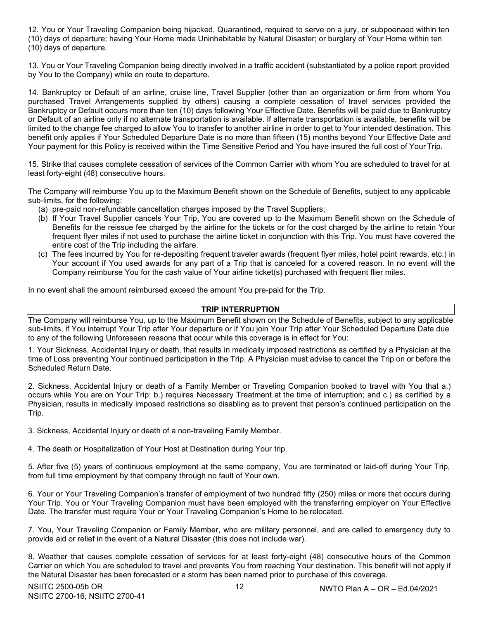12. You or Your Traveling Companion being hijacked, Quarantined, required to serve on a jury, or subpoenaed within ten (10) days of departure; having Your Home made Uninhabitable by Natural Disaster; or burglary of Your Home within ten (10) days of departure.

13. You or Your Traveling Companion being directly involved in a traffic accident (substantiated by a police report provided by You to the Company) while en route to departure.

14. Bankruptcy or Default of an airline, cruise line, Travel Supplier (other than an organization or firm from whom You purchased Travel Arrangements supplied by others) causing a complete cessation of travel services provided the Bankruptcy or Default occurs more than ten (10) days following Your Effective Date. Benefits will be paid due to Bankruptcy or Default of an airline only if no alternate transportation is available. If alternate transportation is available, benefits will be limited to the change fee charged to allow You to transfer to another airline in order to get to Your intended destination. This benefit only applies if Your Scheduled Departure Date is no more than fifteen (15) months beyond Your Effective Date and Your payment for this Policy is received within the Time Sensitive Period and You have insured the full cost of Your Trip.

15. Strike that causes complete cessation of services of the Common Carrier with whom You are scheduled to travel for at least forty-eight (48) consecutive hours.

The Company will reimburse You up to the Maximum Benefit shown on the Schedule of Benefits, subject to any applicable sub-limits, for the following:

- (a) pre-paid non-refundable cancellation charges imposed by the Travel Suppliers;
- (b) If Your Travel Supplier cancels Your Trip, You are covered up to the Maximum Benefit shown on the Schedule of Benefits for the reissue fee charged by the airline for the tickets or for the cost charged by the airline to retain Your frequent flyer miles if not used to purchase the airline ticket in conjunction with this Trip. You must have covered the entire cost of the Trip including the airfare.
- (c) The fees incurred by You for re-depositing frequent traveler awards (frequent flyer miles, hotel point rewards, etc.) in Your account if You used awards for any part of a Trip that is canceled for a covered reason. In no event will the Company reimburse You for the cash value of Your airline ticket(s) purchased with frequent flier miles.

In no event shall the amount reimbursed exceed the amount You pre-paid for the Trip.

#### **TRIP INTERRUPTION**

The Company will reimburse You, up to the Maximum Benefit shown on the Schedule of Benefits, subject to any applicable sub-limits, if You interrupt Your Trip after Your departure or if You join Your Trip after Your Scheduled Departure Date due to any of the following Unforeseen reasons that occur while this coverage is in effect for You:

1. Your Sickness, Accidental Injury or death, that results in medically imposed restrictions as certified by a Physician at the time of Loss preventing Your continued participation in the Trip. A Physician must advise to cancel the Trip on or before the Scheduled Return Date.

2. Sickness, Accidental Injury or death of a Family Member or Traveling Companion booked to travel with You that a.) occurs while You are on Your Trip; b.) requires Necessary Treatment at the time of interruption; and c.) as certified by a Physician, results in medically imposed restrictions so disabling as to prevent that person's continued participation on the Trip.

3. Sickness, Accidental Injury or death of a non-traveling Family Member.

4. The death or Hospitalization of Your Host at Destination during Your trip.

5. After five (5) years of continuous employment at the same company, You are terminated or laid-off during Your Trip, from full time employment by that company through no fault of Your own.

6. Your or Your Traveling Companion's transfer of employment of two hundred fifty (250) miles or more that occurs during Your Trip. You or Your Traveling Companion must have been employed with the transferring employer on Your Effective Date. The transfer must require Your or Your Traveling Companion's Home to be relocated.

7. You, Your Traveling Companion or Family Member, who are military personnel, and are called to emergency duty to provide aid or relief in the event of a Natural Disaster (this does not include war).

8. Weather that causes complete cessation of services for at least forty-eight (48) consecutive hours of the Common Carrier on which You are scheduled to travel and prevents You from reaching Your destination. This benefit will not apply if the Natural Disaster has been forecasted or a storm has been named prior to purchase of this coverage.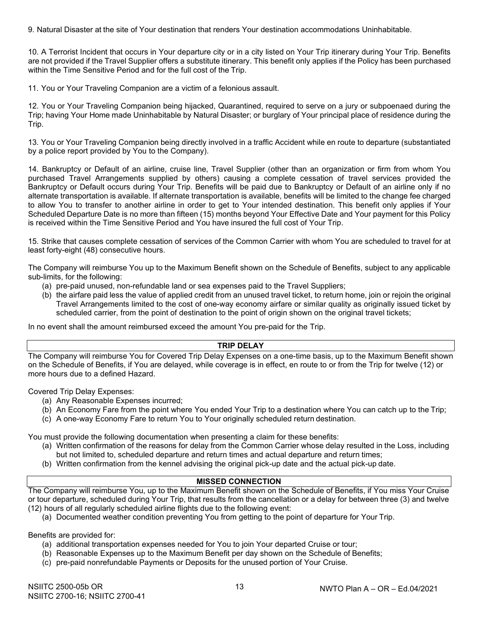9. Natural Disaster at the site of Your destination that renders Your destination accommodations Uninhabitable.

10. A Terrorist Incident that occurs in Your departure city or in a city listed on Your Trip itinerary during Your Trip. Benefits are not provided if the Travel Supplier offers a substitute itinerary. This benefit only applies if the Policy has been purchased within the Time Sensitive Period and for the full cost of the Trip.

11. You or Your Traveling Companion are a victim of a felonious assault.

12. You or Your Traveling Companion being hijacked, Quarantined, required to serve on a jury or subpoenaed during the Trip; having Your Home made Uninhabitable by Natural Disaster; or burglary of Your principal place of residence during the Trip.

13. You or Your Traveling Companion being directly involved in a traffic Accident while en route to departure (substantiated by a police report provided by You to the Company).

14. Bankruptcy or Default of an airline, cruise line, Travel Supplier (other than an organization or firm from whom You purchased Travel Arrangements supplied by others) causing a complete cessation of travel services provided the Bankruptcy or Default occurs during Your Trip. Benefits will be paid due to Bankruptcy or Default of an airline only if no alternate transportation is available. If alternate transportation is available, benefits will be limited to the change fee charged to allow You to transfer to another airline in order to get to Your intended destination. This benefit only applies if Your Scheduled Departure Date is no more than fifteen (15) months beyond Your Effective Date and Your payment for this Policy is received within the Time Sensitive Period and You have insured the full cost of Your Trip.

15. Strike that causes complete cessation of services of the Common Carrier with whom You are scheduled to travel for at least forty-eight (48) consecutive hours.

The Company will reimburse You up to the Maximum Benefit shown on the Schedule of Benefits, subject to any applicable sub-limits, for the following:

- (a) pre-paid unused, non-refundable land or sea expenses paid to the Travel Suppliers;
- (b) the airfare paid less the value of applied credit from an unused travel ticket, to return home, join or rejoin the original Travel Arrangements limited to the cost of one-way economy airfare or similar quality as originally issued ticket by scheduled carrier, from the point of destination to the point of origin shown on the original travel tickets;

In no event shall the amount reimbursed exceed the amount You pre-paid for the Trip.

#### **TRIP DELAY**

The Company will reimburse You for Covered Trip Delay Expenses on a one-time basis, up to the Maximum Benefit shown on the Schedule of Benefits, if You are delayed, while coverage is in effect, en route to or from the Trip for twelve (12) or more hours due to a defined Hazard.

Covered Trip Delay Expenses:

- (a) Any Reasonable Expenses incurred;
- (b) An Economy Fare from the point where You ended Your Trip to a destination where You can catch up to the Trip;
- (c) A one-way Economy Fare to return You to Your originally scheduled return destination.

You must provide the following documentation when presenting a claim for these benefits:

- (a) Written confirmation of the reasons for delay from the Common Carrier whose delay resulted in the Loss, including but not limited to, scheduled departure and return times and actual departure and return times;
- (b) Written confirmation from the kennel advising the original pick-up date and the actual pick-up date.

# **MISSED CONNECTION**

The Company will reimburse You, up to the Maximum Benefit shown on the Schedule of Benefits, if You miss Your Cruise or tour departure, scheduled during Your Trip, that results from the cancellation or a delay for between three (3) and twelve (12) hours of all regularly scheduled airline flights due to the following event:

(a) Documented weather condition preventing You from getting to the point of departure for Your Trip.

Benefits are provided for:

- (a) additional transportation expenses needed for You to join Your departed Cruise or tour;
- (b) Reasonable Expenses up to the Maximum Benefit per day shown on the Schedule of Benefits;
- (c) pre-paid nonrefundable Payments or Deposits for the unused portion of Your Cruise.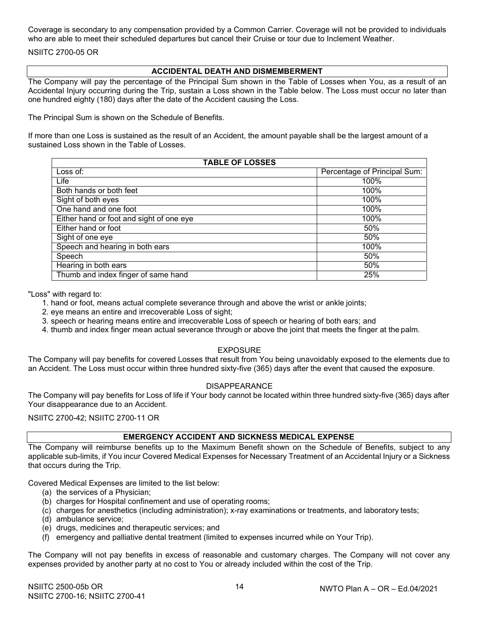Coverage is secondary to any compensation provided by a Common Carrier. Coverage will not be provided to individuals who are able to meet their scheduled departures but cancel their Cruise or tour due to Inclement Weather.

#### NSIITC 2700-05 OR

# **ACCIDENTAL DEATH AND DISMEMBERMENT**

The Company will pay the percentage of the Principal Sum shown in the Table of Losses when You, as a result of an Accidental Injury occurring during the Trip, sustain a Loss shown in the Table below. The Loss must occur no later than one hundred eighty (180) days after the date of the Accident causing the Loss.

The Principal Sum is shown on the Schedule of Benefits.

If more than one Loss is sustained as the result of an Accident, the amount payable shall be the largest amount of a sustained Loss shown in the Table of Losses.

| <b>TABLE OF LOSSES</b>                   |                              |  |  |
|------------------------------------------|------------------------------|--|--|
| Loss of:                                 | Percentage of Principal Sum: |  |  |
| Life                                     | 100%                         |  |  |
| Both hands or both feet                  | 100%                         |  |  |
| Sight of both eyes                       | 100%                         |  |  |
| One hand and one foot                    | 100%                         |  |  |
| Either hand or foot and sight of one eye | 100%                         |  |  |
| Either hand or foot                      | 50%                          |  |  |
| Sight of one eye                         | 50%                          |  |  |
| Speech and hearing in both ears          | 100%                         |  |  |
| Speech                                   | 50%                          |  |  |
| Hearing in both ears                     | 50%                          |  |  |
| Thumb and index finger of same hand      | 25%                          |  |  |

"Loss" with regard to:

- 1. hand or foot, means actual complete severance through and above the wrist or ankle joints;
- 2. eye means an entire and irrecoverable Loss of sight;
- 3. speech or hearing means entire and irrecoverable Loss of speech or hearing of both ears; and
- 4. thumb and index finger mean actual severance through or above the joint that meets the finger at the palm.

# EXPOSURE

The Company will pay benefits for covered Losses that result from You being unavoidably exposed to the elements due to an Accident. The Loss must occur within three hundred sixty-five (365) days after the event that caused the exposure.

#### DISAPPEARANCE

The Company will pay benefits for Loss of life if Your body cannot be located within three hundred sixty-five (365) days after Your disappearance due to an Accident.

NSIITC 2700-42; NSIITC 2700-11 OR

# **EMERGENCY ACCIDENT AND SICKNESS MEDICAL EXPENSE**

The Company will reimburse benefits up to the Maximum Benefit shown on the Schedule of Benefits, subject to any applicable sub-limits, if You incur Covered Medical Expenses for Necessary Treatment of an Accidental Injury or a Sickness that occurs during the Trip.

Covered Medical Expenses are limited to the list below:

- (a) the services of a Physician;
- (b) charges for Hospital confinement and use of operating rooms;
- (c) charges for anesthetics (including administration); x-ray examinations or treatments, and laboratory tests;
- (d) ambulance service;
- (e) drugs, medicines and therapeutic services; and
- (f) emergency and palliative dental treatment (limited to expenses incurred while on Your Trip).

The Company will not pay benefits in excess of reasonable and customary charges. The Company will not cover any expenses provided by another party at no cost to You or already included within the cost of the Trip.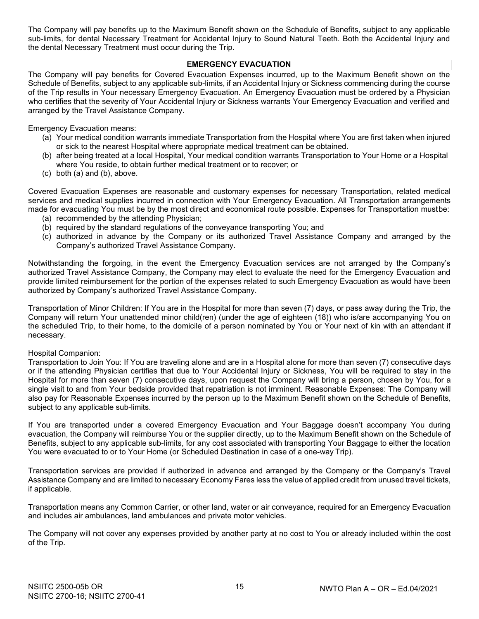The Company will pay benefits up to the Maximum Benefit shown on the Schedule of Benefits, subject to any applicable sub-limits, for dental Necessary Treatment for Accidental Injury to Sound Natural Teeth. Both the Accidental Injury and the dental Necessary Treatment must occur during the Trip.

# **EMERGENCY EVACUATION**

The Company will pay benefits for Covered Evacuation Expenses incurred, up to the Maximum Benefit shown on the Schedule of Benefits, subject to any applicable sub-limits, if an Accidental Injury or Sickness commencing during the course of the Trip results in Your necessary Emergency Evacuation. An Emergency Evacuation must be ordered by a Physician who certifies that the severity of Your Accidental Injury or Sickness warrants Your Emergency Evacuation and verified and arranged by the Travel Assistance Company.

Emergency Evacuation means:

- (a) Your medical condition warrants immediate Transportation from the Hospital where You are first taken when injured or sick to the nearest Hospital where appropriate medical treatment can be obtained.
- (b) after being treated at a local Hospital, Your medical condition warrants Transportation to Your Home or a Hospital where You reside, to obtain further medical treatment or to recover; or
- (c) both (a) and (b), above.

Covered Evacuation Expenses are reasonable and customary expenses for necessary Transportation, related medical services and medical supplies incurred in connection with Your Emergency Evacuation. All Transportation arrangements made for evacuating You must be by the most direct and economical route possible. Expenses for Transportation mustbe:

- (a) recommended by the attending Physician;
- (b) required by the standard regulations of the conveyance transporting You; and
- (c) authorized in advance by the Company or its authorized Travel Assistance Company and arranged by the Company's authorized Travel Assistance Company.

Notwithstanding the forgoing, in the event the Emergency Evacuation services are not arranged by the Company's authorized Travel Assistance Company, the Company may elect to evaluate the need for the Emergency Evacuation and provide limited reimbursement for the portion of the expenses related to such Emergency Evacuation as would have been authorized by Company's authorized Travel Assistance Company.

Transportation of Minor Children: If You are in the Hospital for more than seven (7) days, or pass away during the Trip, the Company will return Your unattended minor child(ren) (under the age of eighteen (18)) who is/are accompanying You on the scheduled Trip, to their home, to the domicile of a person nominated by You or Your next of kin with an attendant if necessary.

#### Hospital Companion:

Transportation to Join You: If You are traveling alone and are in a Hospital alone for more than seven (7) consecutive days or if the attending Physician certifies that due to Your Accidental Injury or Sickness, You will be required to stay in the Hospital for more than seven (7) consecutive days, upon request the Company will bring a person, chosen by You, for a single visit to and from Your bedside provided that repatriation is not imminent. Reasonable Expenses: The Company will also pay for Reasonable Expenses incurred by the person up to the Maximum Benefit shown on the Schedule of Benefits, subject to any applicable sub-limits.

If You are transported under a covered Emergency Evacuation and Your Baggage doesn't accompany You during evacuation, the Company will reimburse You or the supplier directly, up to the Maximum Benefit shown on the Schedule of Benefits, subject to any applicable sub-limits, for any cost associated with transporting Your Baggage to either the location You were evacuated to or to Your Home (or Scheduled Destination in case of a one-way Trip).

Transportation services are provided if authorized in advance and arranged by the Company or the Company's Travel Assistance Company and are limited to necessary Economy Fares less the value of applied credit from unused travel tickets, if applicable.

Transportation means any Common Carrier, or other land, water or air conveyance, required for an Emergency Evacuation and includes air ambulances, land ambulances and private motor vehicles.

The Company will not cover any expenses provided by another party at no cost to You or already included within the cost of the Trip.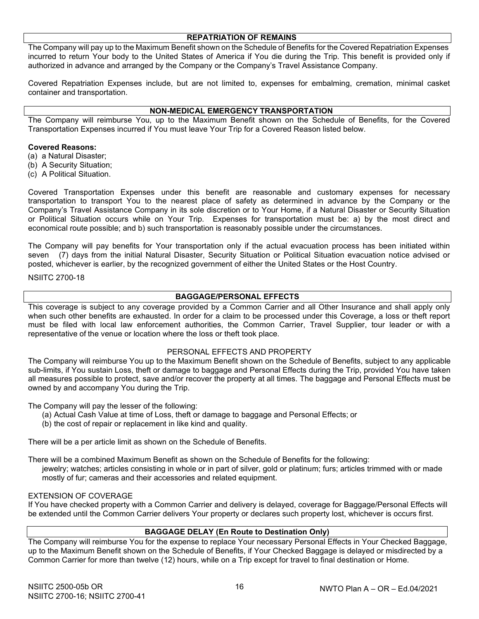#### **REPATRIATION OF REMAINS**

The Company will pay up to the Maximum Benefit shown on the Schedule of Benefits for the Covered Repatriation Expenses incurred to return Your body to the United States of America if You die during the Trip. This benefit is provided only if authorized in advance and arranged by the Company or the Company's Travel Assistance Company.

Covered Repatriation Expenses include, but are not limited to, expenses for embalming, cremation, minimal casket container and transportation.

#### **NON-MEDICAL EMERGENCY TRANSPORTATION**

The Company will reimburse You, up to the Maximum Benefit shown on the Schedule of Benefits, for the Covered Transportation Expenses incurred if You must leave Your Trip for a Covered Reason listed below.

#### **Covered Reasons:**

- (a) a Natural Disaster;
- (b) A Security Situation;
- (c) A Political Situation.

Covered Transportation Expenses under this benefit are reasonable and customary expenses for necessary transportation to transport You to the nearest place of safety as determined in advance by the Company or the Company's Travel Assistance Company in its sole discretion or to Your Home, if a Natural Disaster or Security Situation or Political Situation occurs while on Your Trip. Expenses for transportation must be: a) by the most direct and economical route possible; and b) such transportation is reasonably possible under the circumstances.

The Company will pay benefits for Your transportation only if the actual evacuation process has been initiated within seven (7) days from the initial Natural Disaster, Security Situation or Political Situation evacuation notice advised or posted, whichever is earlier, by the recognized government of either the United States or the Host Country.

NSIITC 2700-18

#### **BAGGAGE/PERSONAL EFFECTS**

This coverage is subject to any coverage provided by a Common Carrier and all Other Insurance and shall apply only when such other benefits are exhausted. In order for a claim to be processed under this Coverage, a loss or theft report must be filed with local law enforcement authorities, the Common Carrier, Travel Supplier, tour leader or with a representative of the venue or location where the loss or theft took place.

#### PERSONAL EFFECTS AND PROPERTY

The Company will reimburse You up to the Maximum Benefit shown on the Schedule of Benefits, subject to any applicable sub-limits, if You sustain Loss, theft or damage to baggage and Personal Effects during the Trip, provided You have taken all measures possible to protect, save and/or recover the property at all times. The baggage and Personal Effects must be owned by and accompany You during the Trip.

The Company will pay the lesser of the following:

- (a) Actual Cash Value at time of Loss, theft or damage to baggage and Personal Effects; or
- (b) the cost of repair or replacement in like kind and quality.

There will be a per article limit as shown on the Schedule of Benefits.

There will be a combined Maximum Benefit as shown on the Schedule of Benefits for the following:

jewelry; watches; articles consisting in whole or in part of silver, gold or platinum; furs; articles trimmed with or made mostly of fur; cameras and their accessories and related equipment.

#### EXTENSION OF COVERAGE

If You have checked property with a Common Carrier and delivery is delayed, coverage for Baggage/Personal Effects will be extended until the Common Carrier delivers Your property or declares such property lost, whichever is occurs first.

# **BAGGAGE DELAY (En Route to Destination Only)**

The Company will reimburse You for the expense to replace Your necessary Personal Effects in Your Checked Baggage, up to the Maximum Benefit shown on the Schedule of Benefits, if Your Checked Baggage is delayed or misdirected by a Common Carrier for more than twelve (12) hours, while on a Trip except for travel to final destination or Home.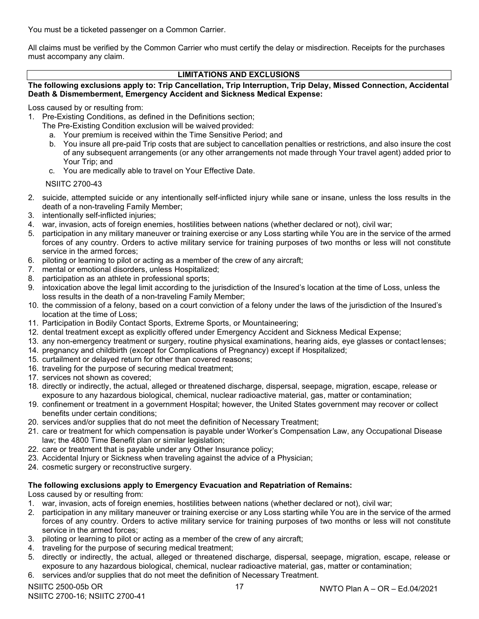You must be a ticketed passenger on a Common Carrier.

All claims must be verified by the Common Carrier who must certify the delay or misdirection. Receipts for the purchases must accompany any claim.

# **LIMITATIONS AND EXCLUSIONS**

**The following exclusions apply to: Trip Cancellation, Trip Interruption, Trip Delay, Missed Connection, Accidental Death & Dismemberment, Emergency Accident and Sickness Medical Expense:**

Loss caused by or resulting from:

- 1. Pre-Existing Conditions, as defined in the Definitions section;
	- The Pre-Existing Condition exclusion will be waived provided:
		- a. Your premium is received within the Time Sensitive Period; and
		- b. You insure all pre-paid Trip costs that are subject to cancellation penalties or restrictions, and also insure the cost of any subsequent arrangements (or any other arrangements not made through Your travel agent) added prior to Your Trip; and
		- c. You are medically able to travel on Your Effective Date.

NSIITC 2700-43

- 2. suicide, attempted suicide or any intentionally self-inflicted injury while sane or insane, unless the loss results in the death of a non-traveling Family Member;
- 3. intentionally self-inflicted injuries;
- 4. war, invasion, acts of foreign enemies, hostilities between nations (whether declared or not), civil war;
- 5. participation in any military maneuver or training exercise or any Loss starting while You are in the service of the armed forces of any country. Orders to active military service for training purposes of two months or less will not constitute service in the armed forces;
- 6. piloting or learning to pilot or acting as a member of the crew of any aircraft;
- 7. mental or emotional disorders, unless Hospitalized;
- 8. participation as an athlete in professional sports;
- 9. intoxication above the legal limit according to the jurisdiction of the Insured's location at the time of Loss, unless the loss results in the death of a non-traveling Family Member;
- 10. the commission of a felony, based on a court conviction of a felony under the laws of the jurisdiction of the Insured's location at the time of Loss;
- 11. Participation in Bodily Contact Sports, Extreme Sports, or Mountaineering;
- 12. dental treatment except as explicitly offered under Emergency Accident and Sickness Medical Expense;
- 13. any non-emergency treatment or surgery, routine physical examinations, hearing aids, eye glasses or contact lenses;
- 14. pregnancy and childbirth (except for Complications of Pregnancy) except if Hospitalized;
- 15. curtailment or delayed return for other than covered reasons;
- 16. traveling for the purpose of securing medical treatment;
- 17. services not shown as covered;
- 18. directly or indirectly, the actual, alleged or threatened discharge, dispersal, seepage, migration, escape, release or exposure to any hazardous biological, chemical, nuclear radioactive material, gas, matter or contamination;
- 19. confinement or treatment in a government Hospital; however, the United States government may recover or collect benefits under certain conditions;
- 20. services and/or supplies that do not meet the definition of Necessary Treatment;
- 21. care or treatment for which compensation is payable under Worker's Compensation Law, any Occupational Disease law; the 4800 Time Benefit plan or similar legislation;
- 22. care or treatment that is payable under any Other Insurance policy;
- 23. Accidental Injury or Sickness when traveling against the advice of a Physician;
- 24. cosmetic surgery or reconstructive surgery.

# **The following exclusions apply to Emergency Evacuation and Repatriation of Remains:**

Loss caused by or resulting from:

- 1. war, invasion, acts of foreign enemies, hostilities between nations (whether declared or not), civil war;
- 2. participation in any military maneuver or training exercise or any Loss starting while You are in the service of the armed forces of any country. Orders to active military service for training purposes of two months or less will not constitute service in the armed forces;
- 3. piloting or learning to pilot or acting as a member of the crew of any aircraft;
- 4. traveling for the purpose of securing medical treatment;
- 5. directly or indirectly, the actual, alleged or threatened discharge, dispersal, seepage, migration, escape, release or exposure to any hazardous biological, chemical, nuclear radioactive material, gas, matter or contamination;
- 6. services and/or supplies that do not meet the definition of Necessary Treatment.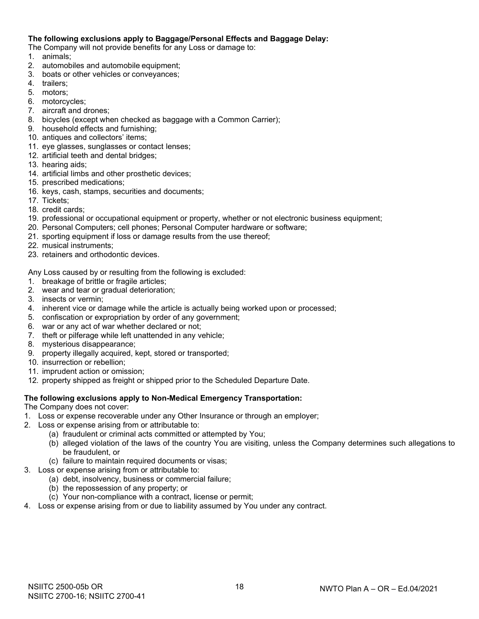#### **The following exclusions apply to Baggage/Personal Effects and Baggage Delay:**

The Company will not provide benefits for any Loss or damage to:

- 1. animals;
- 2. automobiles and automobile equipment;
- 3. boats or other vehicles or conveyances;
- 4. trailers;
- 5. motors;
- 6. motorcycles;
- 7. aircraft and drones;
- 8. bicycles (except when checked as baggage with a Common Carrier);
- 9. household effects and furnishing;
- 10. antiques and collectors' items;
- 11. eye glasses, sunglasses or contact lenses;
- 12. artificial teeth and dental bridges;
- 13. hearing aids;
- 14. artificial limbs and other prosthetic devices;
- 15. prescribed medications;
- 16. keys, cash, stamps, securities and documents;
- 17. Tickets;
- 18. credit cards;
- 19. professional or occupational equipment or property, whether or not electronic business equipment;
- 20. Personal Computers; cell phones; Personal Computer hardware or software;
- 21. sporting equipment if loss or damage results from the use thereof;
- 22. musical instruments;
- 23. retainers and orthodontic devices.

Any Loss caused by or resulting from the following is excluded:

- 1. breakage of brittle or fragile articles;
- 2. wear and tear or gradual deterioration;
- 3. insects or vermin;
- 4. inherent vice or damage while the article is actually being worked upon or processed;
- 5. confiscation or expropriation by order of any government;
- 6. war or any act of war whether declared or not;
- 7. theft or pilferage while left unattended in any vehicle;
- 8. mysterious disappearance;
- 9. property illegally acquired, kept, stored or transported;
- 10. insurrection or rebellion;
- 11. imprudent action or omission;
- 12. property shipped as freight or shipped prior to the Scheduled Departure Date.

# **The following exclusions apply to Non-Medical Emergency Transportation:**

The Company does not cover:

- 1. Loss or expense recoverable under any Other Insurance or through an employer;
- 2. Loss or expense arising from or attributable to:
	- (a) fraudulent or criminal acts committed or attempted by You;
		- (b) alleged violation of the laws of the country You are visiting, unless the Company determines such allegations to be fraudulent, or
		- (c) failure to maintain required documents or visas;
- 3. Loss or expense arising from or attributable to:
	- (a) debt, insolvency, business or commercial failure;
	- (b) the repossession of any property; or
	- (c) Your non-compliance with a contract, license or permit;
- 4. Loss or expense arising from or due to liability assumed by You under any contract.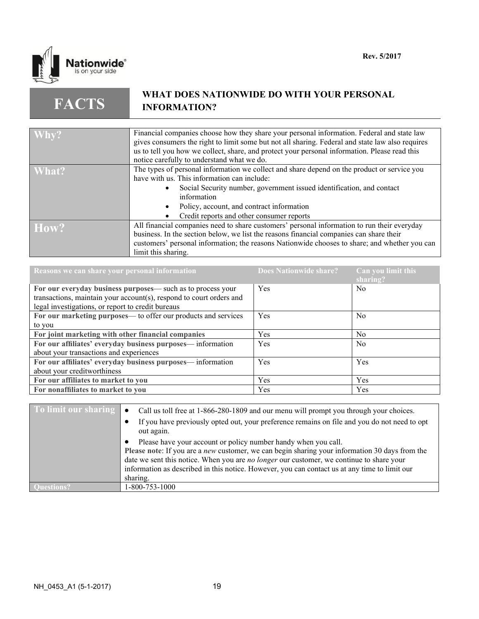

**FACTS**

# **WHAT DOES NATIONWIDE DO WITH YOUR PERSONAL INFORMATION?**

| Why?  | Financial companies choose how they share your personal information. Federal and state law       |
|-------|--------------------------------------------------------------------------------------------------|
|       | gives consumers the right to limit some but not all sharing. Federal and state law also requires |
|       | us to tell you how we collect, share, and protect your personal information. Please read this    |
|       | notice carefully to understand what we do.                                                       |
| What? | The types of personal information we collect and share depend on the product or service you      |
|       | have with us. This information can include:                                                      |
|       | Social Security number, government issued identification, and contact                            |
|       | information                                                                                      |
|       | Policy, account, and contract information                                                        |
|       | Credit reports and other consumer reports                                                        |
| How?  | All financial companies need to share customers' personal information to run their everyday      |
|       | business. In the section below, we list the reasons financial companies can share their          |
|       | customers' personal information; the reasons Nationwide chooses to share; and whether you can    |
|       | limit this sharing.                                                                              |

| Reasons we can share your personal information                      | <b>Does Nationwide share?</b> | Can you limit this<br>sharing? |
|---------------------------------------------------------------------|-------------------------------|--------------------------------|
| For our everyday business purposes— such as to process your         | Yes                           | N <sub>0</sub>                 |
| transactions, maintain your account(s), respond to court orders and |                               |                                |
| legal investigations, or report to credit bureaus                   |                               |                                |
| For our marketing purposes— to offer our products and services      | Yes                           | N <sub>0</sub>                 |
| to you                                                              |                               |                                |
| For joint marketing with other financial companies                  | Yes                           | N <sub>o</sub>                 |
| For our affiliates' everyday business purposes— information         | Yes                           | N <sub>0</sub>                 |
| about your transactions and experiences                             |                               |                                |
| For our affiliates' everyday business purposes— information         | Yes                           | Yes                            |
| about your creditworthiness                                         |                               |                                |
| For our affiliates to market to you                                 | Yes                           | <b>Yes</b>                     |
| For nonaffiliates to market to you                                  | <b>Yes</b>                    | Yes                            |

| To limit our sharing o | Call us toll free at 1-866-280-1809 and our menu will prompt you through your choices.                     |  |
|------------------------|------------------------------------------------------------------------------------------------------------|--|
|                        | If you have previously opted out, your preference remains on file and you do not need to opt<br>out again. |  |
|                        | Please have your account or policy number handy when you call.                                             |  |
|                        | Please note: If you are a <i>new</i> customer, we can begin sharing your information 30 days from the      |  |
|                        | date we sent this notice. When you are no longer our customer, we continue to share your                   |  |
|                        | information as described in this notice. However, you can contact us at any time to limit our              |  |
|                        | sharing.                                                                                                   |  |
|                        | 1-800-753-1000                                                                                             |  |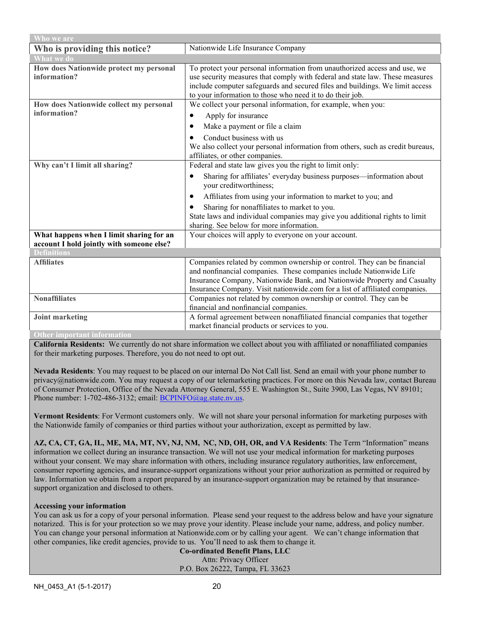| Who is providing this notice?<br>Nationwide Life Insurance Company<br><b>What we do</b><br>How does Nationwide protect my personal<br>To protect your personal information from unauthorized access and use, we<br>information?<br>use security measures that comply with federal and state law. These measures<br>include computer safeguards and secured files and buildings. We limit access<br>to your information to those who need it to do their job.<br>We collect your personal information, for example, when you:<br>How does Nationwide collect my personal<br>information?<br>Apply for insurance<br>$\bullet$<br>Make a payment or file a claim<br>Conduct business with us<br>We also collect your personal information from others, such as credit bureaus,<br>affiliates, or other companies.<br>Federal and state law gives you the right to limit only:<br>Why can't I limit all sharing?<br>Sharing for affiliates' everyday business purposes—information about<br>$\bullet$<br>your creditworthiness;<br>Affiliates from using your information to market to you; and<br>Sharing for nonaffiliates to market to you.<br>٠<br>State laws and individual companies may give you additional rights to limit<br>sharing. See below for more information.<br>What happens when I limit sharing for an<br>Your choices will apply to everyone on your account.<br>account I hold jointly with someone else?<br>Definitions<br>Companies related by common ownership or control. They can be financial<br><b>Affiliates</b><br>and nonfinancial companies. These companies include Nationwide Life<br>Insurance Company, Nationwide Bank, and Nationwide Property and Casualty<br>Insurance Company. Visit nationwide.com for a list of affiliated companies.<br><b>Nonaffiliates</b><br>Companies not related by common ownership or control. They can be<br>financial and nonfinancial companies.<br>A formal agreement between nonaffiliated financial companies that together<br>Joint marketing<br>market financial products or services to you. | Who we are |  |  |
|----------------------------------------------------------------------------------------------------------------------------------------------------------------------------------------------------------------------------------------------------------------------------------------------------------------------------------------------------------------------------------------------------------------------------------------------------------------------------------------------------------------------------------------------------------------------------------------------------------------------------------------------------------------------------------------------------------------------------------------------------------------------------------------------------------------------------------------------------------------------------------------------------------------------------------------------------------------------------------------------------------------------------------------------------------------------------------------------------------------------------------------------------------------------------------------------------------------------------------------------------------------------------------------------------------------------------------------------------------------------------------------------------------------------------------------------------------------------------------------------------------------------------------------------------------------------------------------------------------------------------------------------------------------------------------------------------------------------------------------------------------------------------------------------------------------------------------------------------------------------------------------------------------------------------------------------------------------------------------------------------------------------------------------------------------------------|------------|--|--|
|                                                                                                                                                                                                                                                                                                                                                                                                                                                                                                                                                                                                                                                                                                                                                                                                                                                                                                                                                                                                                                                                                                                                                                                                                                                                                                                                                                                                                                                                                                                                                                                                                                                                                                                                                                                                                                                                                                                                                                                                                                                                      |            |  |  |
|                                                                                                                                                                                                                                                                                                                                                                                                                                                                                                                                                                                                                                                                                                                                                                                                                                                                                                                                                                                                                                                                                                                                                                                                                                                                                                                                                                                                                                                                                                                                                                                                                                                                                                                                                                                                                                                                                                                                                                                                                                                                      |            |  |  |
|                                                                                                                                                                                                                                                                                                                                                                                                                                                                                                                                                                                                                                                                                                                                                                                                                                                                                                                                                                                                                                                                                                                                                                                                                                                                                                                                                                                                                                                                                                                                                                                                                                                                                                                                                                                                                                                                                                                                                                                                                                                                      |            |  |  |
|                                                                                                                                                                                                                                                                                                                                                                                                                                                                                                                                                                                                                                                                                                                                                                                                                                                                                                                                                                                                                                                                                                                                                                                                                                                                                                                                                                                                                                                                                                                                                                                                                                                                                                                                                                                                                                                                                                                                                                                                                                                                      |            |  |  |
|                                                                                                                                                                                                                                                                                                                                                                                                                                                                                                                                                                                                                                                                                                                                                                                                                                                                                                                                                                                                                                                                                                                                                                                                                                                                                                                                                                                                                                                                                                                                                                                                                                                                                                                                                                                                                                                                                                                                                                                                                                                                      |            |  |  |
|                                                                                                                                                                                                                                                                                                                                                                                                                                                                                                                                                                                                                                                                                                                                                                                                                                                                                                                                                                                                                                                                                                                                                                                                                                                                                                                                                                                                                                                                                                                                                                                                                                                                                                                                                                                                                                                                                                                                                                                                                                                                      |            |  |  |
|                                                                                                                                                                                                                                                                                                                                                                                                                                                                                                                                                                                                                                                                                                                                                                                                                                                                                                                                                                                                                                                                                                                                                                                                                                                                                                                                                                                                                                                                                                                                                                                                                                                                                                                                                                                                                                                                                                                                                                                                                                                                      |            |  |  |
|                                                                                                                                                                                                                                                                                                                                                                                                                                                                                                                                                                                                                                                                                                                                                                                                                                                                                                                                                                                                                                                                                                                                                                                                                                                                                                                                                                                                                                                                                                                                                                                                                                                                                                                                                                                                                                                                                                                                                                                                                                                                      |            |  |  |
|                                                                                                                                                                                                                                                                                                                                                                                                                                                                                                                                                                                                                                                                                                                                                                                                                                                                                                                                                                                                                                                                                                                                                                                                                                                                                                                                                                                                                                                                                                                                                                                                                                                                                                                                                                                                                                                                                                                                                                                                                                                                      |            |  |  |
|                                                                                                                                                                                                                                                                                                                                                                                                                                                                                                                                                                                                                                                                                                                                                                                                                                                                                                                                                                                                                                                                                                                                                                                                                                                                                                                                                                                                                                                                                                                                                                                                                                                                                                                                                                                                                                                                                                                                                                                                                                                                      |            |  |  |
| <b>Other important information</b>                                                                                                                                                                                                                                                                                                                                                                                                                                                                                                                                                                                                                                                                                                                                                                                                                                                                                                                                                                                                                                                                                                                                                                                                                                                                                                                                                                                                                                                                                                                                                                                                                                                                                                                                                                                                                                                                                                                                                                                                                                   |            |  |  |

**California Residents:** We currently do not share information we collect about you with affiliated or nonaffiliated companies for their marketing purposes. Therefore, you do not need to opt out.

**Nevada Residents**: You may request to be placed on our internal Do Not Call list. Send an email with your phone number to privacy@nationwide.com. You may request a copy of our telemarketing practices. For more on this Nevada law, contact Bureau of Consumer Protection, Office of the Nevada Attorney General, 555 E. Washington St., Suite 3900, Las Vegas, NV 89101; Phone number: 1-702-486-3132; email: [BCPINFO@ag.state.nv.us.](mailto:BCPINFO@ag.state.nv.us)

**Vermont Residents**: For Vermont customers only. We will not share your personal information for marketing purposes with the Nationwide family of companies or third parties without your authorization, except as permitted by law.

**AZ, CA, CT, GA, IL, ME, MA, MT, NV, NJ, NM, NC, ND, OH, OR, and VA Residents**: The Term "Information" means information we collect during an insurance transaction. We will not use your medical information for marketing purposes without your consent. We may share information with others, including insurance regulatory authorities, law enforcement, consumer reporting agencies, and insurance-support organizations without your prior authorization as permitted or required by law. Information we obtain from a report prepared by an insurance-support organization may be retained by that insurancesupport organization and disclosed to others.

#### **Accessing your information**

You can ask us for a copy of your personal information. Please send your request to the address below and have your signature notarized. This is for your protection so we may prove your identity. Please include your name, address, and policy number. You can change your personal information at Nationwide.com or by calling your agent. We can't change information that other companies, like credit agencies, provide to us. You'll need to ask them to change it.

**Co-ordinated Benefit Plans, LLC** Attn: Privacy Officer P.O. Box 26222, Tampa, FL 33623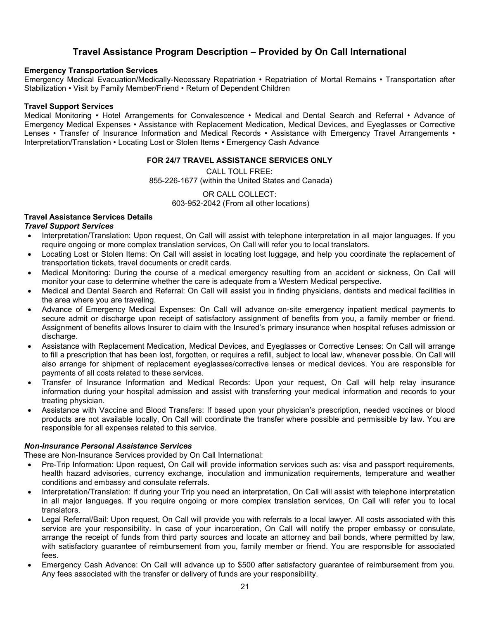# **Travel Assistance Program Description – Provided by On Call International**

#### **Emergency Transportation Services**

Emergency Medical Evacuation/Medically-Necessary Repatriation • Repatriation of Mortal Remains • Transportation after Stabilization • Visit by Family Member/Friend • Return of Dependent Children

#### **Travel Support Services**

Medical Monitoring • Hotel Arrangements for Convalescence • Medical and Dental Search and Referral • Advance of Emergency Medical Expenses • Assistance with Replacement Medication, Medical Devices, and Eyeglasses or Corrective Lenses • Transfer of Insurance Information and Medical Records • Assistance with Emergency Travel Arrangements • Interpretation/Translation • Locating Lost or Stolen Items • Emergency Cash Advance

#### **FOR 24/7 TRAVEL ASSISTANCE SERVICES ONLY**

CALL TOLL FREE: 855-226-1677 (within the United States and Canada)

> OR CALL COLLECT: 603-952-2042 (From all other locations)

#### **Travel Assistance Services Details** *Travel Support Services*

- Interpretation/Translation: Upon request, On Call will assist with telephone interpretation in all major languages. If you require ongoing or more complex translation services, On Call will refer you to local translators.
- Locating Lost or Stolen Items: On Call will assist in locating lost luggage, and help you coordinate the replacement of transportation tickets, travel documents or credit cards.
- Medical Monitoring: During the course of a medical emergency resulting from an accident or sickness, On Call will monitor your case to determine whether the care is adequate from a Western Medical perspective.
- Medical and Dental Search and Referral: On Call will assist you in finding physicians, dentists and medical facilities in the area where you are traveling.
- Advance of Emergency Medical Expenses: On Call will advance on-site emergency inpatient medical payments to secure admit or discharge upon receipt of satisfactory assignment of benefits from you, a family member or friend. Assignment of benefits allows Insurer to claim with the Insured's primary insurance when hospital refuses admission or discharge.
- Assistance with Replacement Medication, Medical Devices, and Eyeglasses or Corrective Lenses: On Call will arrange to fill a prescription that has been lost, forgotten, or requires a refill, subject to local law, whenever possible. On Call will also arrange for shipment of replacement eyeglasses/corrective lenses or medical devices. You are responsible for payments of all costs related to these services.
- Transfer of Insurance Information and Medical Records: Upon your request, On Call will help relay insurance information during your hospital admission and assist with transferring your medical information and records to your treating physician.
- Assistance with Vaccine and Blood Transfers: If based upon your physician's prescription, needed vaccines or blood products are not available locally, On Call will coordinate the transfer where possible and permissible by law. You are responsible for all expenses related to this service.

# *Non-Insurance Personal Assistance Services*

These are Non-Insurance Services provided by On Call International:

- Pre-Trip Information: Upon request, On Call will provide information services such as: visa and passport requirements, health hazard advisories, currency exchange, inoculation and immunization requirements, temperature and weather conditions and embassy and consulate referrals.
- Interpretation/Translation: If during your Trip you need an interpretation, On Call will assist with telephone interpretation in all major languages. If you require ongoing or more complex translation services, On Call will refer you to local translators.
- Legal Referral/Bail: Upon request, On Call will provide you with referrals to a local lawyer. All costs associated with this service are your responsibility. In case of your incarceration, On Call will notify the proper embassy or consulate, arrange the receipt of funds from third party sources and locate an attorney and bail bonds, where permitted by law, with satisfactory guarantee of reimbursement from you, family member or friend. You are responsible for associated fees.
- Emergency Cash Advance: On Call will advance up to \$500 after satisfactory guarantee of reimbursement from you. Any fees associated with the transfer or delivery of funds are your responsibility.